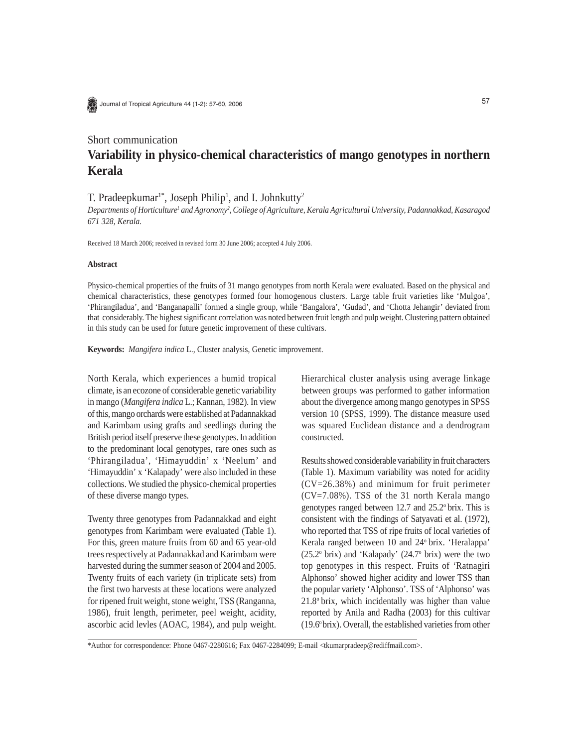Journal of Tropical Agriculture 44 (1-2): 57-60, 2006

## Short communication

# **Variability in physico-chemical characteristics of mango genotypes in northern Kerala**

#### T. Pradeepkumar<sup>1\*</sup>, Joseph Philip<sup>1</sup>, and I. Johnkutty<sup>2</sup>

Departments of Horticulture<sup>1</sup> and Agronomy<sup>2</sup>, College of Agriculture, Kerala Agricultural University, Padannakkad, Kasaragod *671 328, Kerala.*

Received 18 March 2006; received in revised form 30 June 2006; accepted 4 July 2006.

#### **Abstract**

Physico-chemical properties of the fruits of 31 mango genotypes from north Kerala were evaluated. Based on the physical and chemical characteristics, these genotypes formed four homogenous clusters. Large table fruit varieties like 'Mulgoa', 'Phirangiladua', and 'Banganapalli' formed a single group, while 'Bangalora', 'Gudad', and 'Chotta Jehangir' deviated from that considerably. The highest significant correlation was noted between fruit length and pulp weight. Clustering pattern obtained in this study can be used for future genetic improvement of these cultivars.

**Keywords:** *Mangifera indica* L., Cluster analysis, Genetic improvement.

North Kerala, which experiences a humid tropical climate, is an ecozone of considerable genetic variability in mango (*Mangifera indica* L.; Kannan, 1982). In view of this, mango orchards were established at Padannakkad and Karimbam using grafts and seedlings during the British period itself preserve these genotypes. In addition to the predominant local genotypes, rare ones such as 'Phirangiladua', 'Himayuddin' x 'Neelum' and 'Himayuddin' x 'Kalapady' were also included in these collections. We studied the physico-chemical properties of these diverse mango types.

Twenty three genotypes from Padannakkad and eight genotypes from Karimbam were evaluated (Table 1). For this, green mature fruits from 60 and 65 year-old trees respectively at Padannakkad and Karimbam were harvested during the summer season of 2004 and 2005. Twenty fruits of each variety (in triplicate sets) from the first two harvests at these locations were analyzed for ripened fruit weight, stone weight, TSS (Ranganna, 1986), fruit length, perimeter, peel weight, acidity, ascorbic acid levles (AOAC, 1984), and pulp weight.

Hierarchical cluster analysis using average linkage between groups was performed to gather information about the divergence among mango genotypes in SPSS version 10 (SPSS, 1999). The distance measure used was squared Euclidean distance and a dendrogram constructed.

Results showed considerable variability in fruit characters (Table 1). Maximum variability was noted for acidity (CV=26.38%) and minimum for fruit perimeter (CV=7.08%). TSS of the 31 north Kerala mango genotypes ranged between 12.7 and 25.2o brix. This is consistent with the findings of Satyavati et al. (1972), who reported that TSS of ripe fruits of local varieties of Kerala ranged between 10 and 24° brix. 'Heralappa'  $(25.2^{\circ}$  brix) and 'Kalapady'  $(24.7^{\circ}$  brix) were the two top genotypes in this respect. Fruits of 'Ratnagiri Alphonso' showed higher acidity and lower TSS than the popular variety 'Alphonso'. TSS of 'Alphonso' was 21.8o brix, which incidentally was higher than value reported by Anila and Radha (2003) for this cultivar  $(19.6°$  brix). Overall, the established varieties from other

\*Author for correspondence: Phone 0467-2280616; Fax 0467-2284099; E-mail <tkumarpradeep@rediffmail.com>.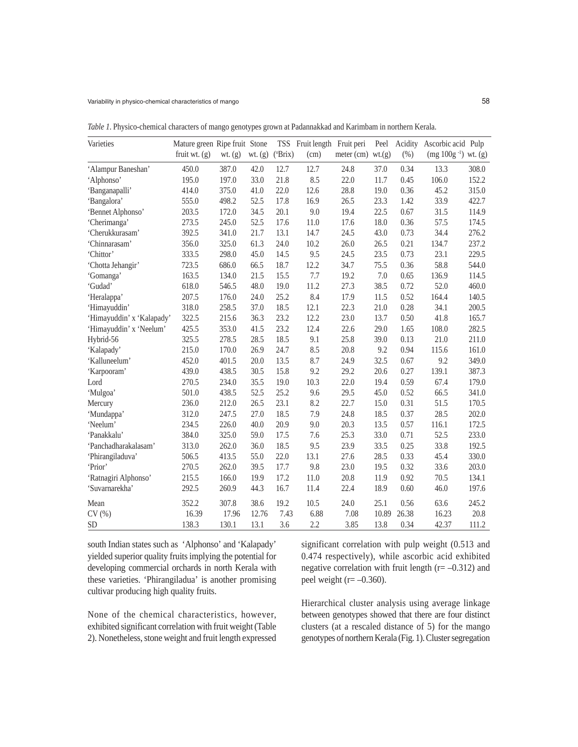| Varieties                 | Mature green Ripe fruit Stone |             |           |                  | TSS Fruit length Fruit peri |                        | Peel  | Acidity | Ascorbic acid Pulp         |       |
|---------------------------|-------------------------------|-------------|-----------|------------------|-----------------------------|------------------------|-------|---------|----------------------------|-------|
|                           | fruit wt. $(g)$               | $wt.$ $(g)$ | wt. $(g)$ | $(^{\circ}Brix)$ | (cm)                        | meter $(cm)$ wt. $(g)$ |       | (%)     | $(mg 100g^{-1})$ wt. $(g)$ |       |
| 'Alampur Baneshan'        | 450.0                         | 387.0       | 42.0      | 12.7             | 12.7                        | 24.8                   | 37.0  | 0.34    | 13.3                       | 308.0 |
| 'Alphonso'                | 195.0                         | 197.0       | 33.0      | 21.8             | 8.5                         | 22.0                   | 11.7  | 0.45    | 106.0                      | 152.2 |
| 'Banganapalli'            | 414.0                         | 375.0       | 41.0      | 22.0             | 12.6                        | 28.8                   | 19.0  | 0.36    | 45.2                       | 315.0 |
| 'Bangalora'               | 555.0                         | 498.2       | 52.5      | 17.8             | 16.9                        | 26.5                   | 23.3  | 1.42    | 33.9                       | 422.7 |
| 'Bennet Alphonso'         | 203.5                         | 172.0       | 34.5      | 20.1             | 9.0                         | 19.4                   | 22.5  | 0.67    | 31.5                       | 114.9 |
| 'Cherimanga'              | 273.5                         | 245.0       | 52.5      | 17.6             | 11.0                        | 17.6                   | 18.0  | 0.36    | 57.5                       | 174.5 |
| 'Cherukkurasam'           | 392.5                         | 341.0       | 21.7      | 13.1             | 14.7                        | 24.5                   | 43.0  | 0.73    | 34.4                       | 276.2 |
| 'Chinnarasam'             | 356.0                         | 325.0       | 61.3      | 24.0             | 10.2                        | 26.0                   | 26.5  | 0.21    | 134.7                      | 237.2 |
| 'Chittor'                 | 333.5                         | 298.0       | 45.0      | 14.5             | 9.5                         | 24.5                   | 23.5  | 0.73    | 23.1                       | 229.5 |
| 'Chotta Jehangir'         | 723.5                         | 686.0       | 66.5      | 18.7             | 12.2                        | 34.7                   | 75.5  | 0.36    | 58.8                       | 544.0 |
| 'Gomanga'                 | 163.5                         | 134.0       | 21.5      | 15.5             | 7.7                         | 19.2                   | 7.0   | 0.65    | 136.9                      | 114.5 |
| 'Gudad'                   | 618.0                         | 546.5       | 48.0      | 19.0             | 11.2                        | 27.3                   | 38.5  | 0.72    | 52.0                       | 460.0 |
| 'Heralappa'               | 207.5                         | 176.0       | 24.0      | 25.2             | 8.4                         | 17.9                   | 11.5  | 0.52    | 164.4                      | 140.5 |
| 'Himayuddin'              | 318.0                         | 258.5       | 37.0      | 18.5             | 12.1                        | 22.3                   | 21.0  | 0.28    | 34.1                       | 200.5 |
| 'Himayuddin' x 'Kalapady' | 322.5                         | 215.6       | 36.3      | 23.2             | 12.2                        | 23.0                   | 13.7  | 0.50    | 41.8                       | 165.7 |
| 'Himayuddin' x 'Neelum'   | 425.5                         | 353.0       | 41.5      | 23.2             | 12.4                        | 22.6                   | 29.0  | 1.65    | 108.0                      | 282.5 |
| Hybrid-56                 | 325.5                         | 278.5       | 28.5      | 18.5             | 9.1                         | 25.8                   | 39.0  | 0.13    | 21.0                       | 211.0 |
| 'Kalapady'                | 215.0                         | 170.0       | 26.9      | 24.7             | 8.5                         | 20.8                   | 9.2   | 0.94    | 115.6                      | 161.0 |
| 'Kalluneelum'             | 452.0                         | 401.5       | 20.0      | 13.5             | 8.7                         | 24.9                   | 32.5  | 0.67    | 9.2                        | 349.0 |
| 'Karpooram'               | 439.0                         | 438.5       | 30.5      | 15.8             | 9.2                         | 29.2                   | 20.6  | 0.27    | 139.1                      | 387.3 |
| Lord                      | 270.5                         | 234.0       | 35.5      | 19.0             | 10.3                        | 22.0                   | 19.4  | 0.59    | 67.4                       | 179.0 |
| 'Mulgoa'                  | 501.0                         | 438.5       | 52.5      | 25.2             | 9.6                         | 29.5                   | 45.0  | 0.52    | 66.5                       | 341.0 |
| Mercury                   | 236.0                         | 212.0       | 26.5      | 23.1             | 8.2                         | 22.7                   | 15.0  | 0.31    | 51.5                       | 170.5 |
| 'Mundappa'                | 312.0                         | 247.5       | 27.0      | 18.5             | 7.9                         | 24.8                   | 18.5  | 0.37    | 28.5                       | 202.0 |
| 'Neelum'                  | 234.5                         | 226.0       | 40.0      | 20.9             | 9.0                         | 20.3                   | 13.5  | 0.57    | 116.1                      | 172.5 |
| 'Panakkalu'               | 384.0                         | 325.0       | 59.0      | 17.5             | 7.6                         | 25.3                   | 33.0  | 0.71    | 52.5                       | 233.0 |
| 'Panchadharakalasam'      | 313.0                         | 262.0       | 36.0      | 18.5             | 9.5                         | 23.9                   | 33.5  | 0.25    | 33.8                       | 192.5 |
| 'Phirangiladuva'          | 506.5                         | 413.5       | 55.0      | 22.0             | 13.1                        | 27.6                   | 28.5  | 0.33    | 45.4                       | 330.0 |
| 'Prior'                   | 270.5                         | 262.0       | 39.5      | 17.7             | 9.8                         | 23.0                   | 19.5  | 0.32    | 33.6                       | 203.0 |
| 'Ratnagiri Alphonso'      | 215.5                         | 166.0       | 19.9      | 17.2             | 11.0                        | 20.8                   | 11.9  | 0.92    | 70.5                       | 134.1 |
| 'Suvarnarekha'            | 292.5                         | 260.9       | 44.3      | 16.7             | 11.4                        | 22.4                   | 18.9  | 0.60    | 46.0                       | 197.6 |
| Mean                      | 352.2                         | 307.8       | 38.6      | 19.2             | 10.5                        | 24.0                   | 25.1  | 0.56    | 63.6                       | 245.2 |
| CV(%)                     | 16.39                         | 17.96       | 12.76     | 7.43             | 6.88                        | 7.08                   | 10.89 | 26.38   | 16.23                      | 20.8  |
| <b>SD</b>                 | 138.3                         | 130.1       | 13.1      | 3.6              | 2.2                         | 3.85                   | 13.8  | 0.34    | 42.37                      | 111.2 |

*Table 1.* Physico-chemical characters of mango genotypes grown at Padannakkad and Karimbam in northern Kerala.

south Indian states such as 'Alphonso' and 'Kalapady' yielded superior quality fruits implying the potential for developing commercial orchards in north Kerala with these varieties. 'Phirangiladua' is another promising cultivar producing high quality fruits.

None of the chemical characteristics, however, exhibited significant correlation with fruit weight (Table 2). Nonetheless, stone weight and fruit length expressed significant correlation with pulp weight (0.513 and 0.474 respectively), while ascorbic acid exhibited negative correlation with fruit length  $(r=-0.312)$  and peel weight ( $r=-0.360$ ).

Hierarchical cluster analysis using average linkage between genotypes showed that there are four distinct clusters (at a rescaled distance of 5) for the mango genotypes of northern Kerala (Fig. 1). Cluster segregation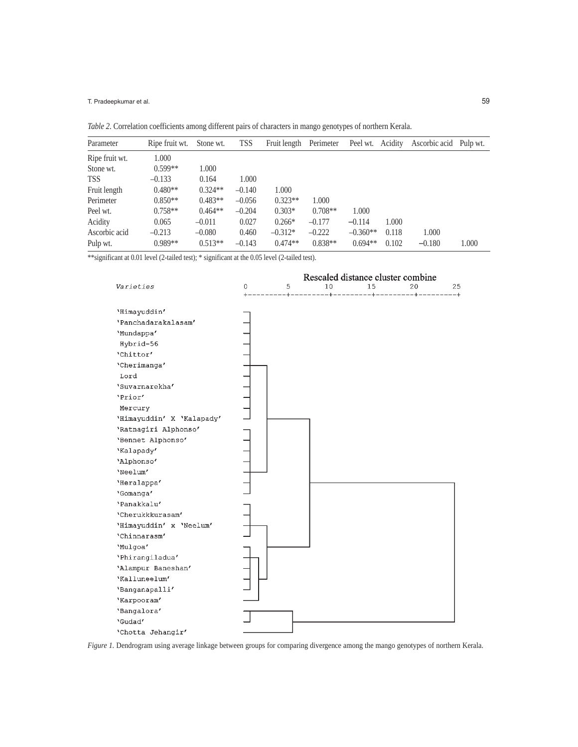T. Pradeepkumar et al.

*Table 2.* Correlation coefficients among different pairs of characters in mango genotypes of northern Kerala.

| Parameter      | Ripe fruit wt. | Stone wt. | <b>TSS</b> | Fruit length | Perimeter | Peel wt.   | Acidity | Ascorbic acid Pulp wt. |       |
|----------------|----------------|-----------|------------|--------------|-----------|------------|---------|------------------------|-------|
| Ripe fruit wt. | 1.000          |           |            |              |           |            |         |                        |       |
| Stone wt.      | $0.599**$      | 1.000     |            |              |           |            |         |                        |       |
| <b>TSS</b>     | $-0.133$       | 0.164     | 1.000      |              |           |            |         |                        |       |
| Fruit length   | $0.480**$      | $0.324**$ | $-0.140$   | 1.000        |           |            |         |                        |       |
| Perimeter      | $0.850**$      | $0.483**$ | $-0.056$   | $0.323**$    | 1.000     |            |         |                        |       |
| Peel wt.       | $0.758**$      | $0.464**$ | $-0.204$   | $0.303*$     | $0.708**$ | 1.000      |         |                        |       |
| Acidity        | 0.065          | $-0.011$  | 0.027      | $0.266*$     | $-0.177$  | $-0.114$   | 1.000   |                        |       |
| Ascorbic acid  | $-0.213$       | $-0.080$  | 0.460      | $-0.312*$    | $-0.222$  | $-0.360**$ | 0.118   | 1.000                  |       |
| Pulp wt.       | $0.989**$      | $0.513**$ | $-0.143$   | $0.474**$    | $0.838**$ | $0.694**$  | 0.102   | $-0.180$               | 1.000 |

\*\*significant at 0.01 level (2-tailed test); \* significant at the 0.05 level (2-tailed test).



*Figure 1.* Dendrogram using average linkage between groups for comparing divergence among the mango genotypes of northern Kerala.